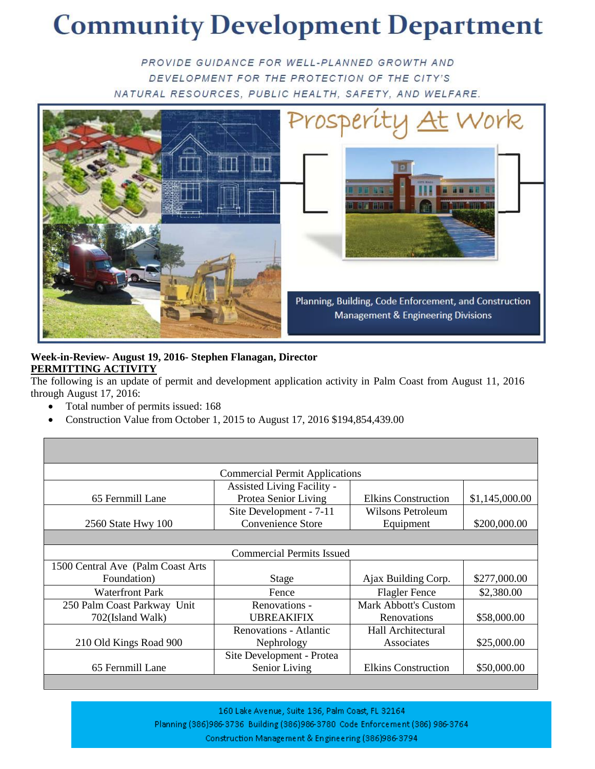# **Community Development Department**

PROVIDE GUIDANCE FOR WELL-PLANNED GROWTH AND DEVELOPMENT FOR THE PROTECTION OF THE CITY'S NATURAL RESOURCES, PUBLIC HEALTH, SAFETY, AND WELFARE.



#### **Week-in-Review- August 19, 2016- Stephen Flanagan, Director PERMITTING ACTIVITY**

The following is an update of permit and development application activity in Palm Coast from August 11, 2016 through August 17, 2016:

- Total number of permits issued: 168
- Construction Value from October 1, 2015 to August 17, 2016 \$194,854,439.00

| <b>Commercial Permit Applications</b> |                               |                             |                |  |  |  |
|---------------------------------------|-------------------------------|-----------------------------|----------------|--|--|--|
|                                       | Assisted Living Facility -    |                             |                |  |  |  |
| 65 Fernmill Lane                      | Protea Senior Living          | <b>Elkins Construction</b>  | \$1,145,000.00 |  |  |  |
|                                       | Site Development - 7-11       | Wilsons Petroleum           |                |  |  |  |
| 2560 State Hwy 100                    | <b>Convenience Store</b>      | Equipment                   | \$200,000.00   |  |  |  |
|                                       |                               |                             |                |  |  |  |
| <b>Commercial Permits Issued</b>      |                               |                             |                |  |  |  |
| 1500 Central Ave (Palm Coast Arts)    |                               |                             |                |  |  |  |
| Foundation)                           | <b>Stage</b>                  | Ajax Building Corp.         | \$277,000.00   |  |  |  |
| <b>Waterfront Park</b>                | Fence                         | <b>Flagler Fence</b>        | \$2,380.00     |  |  |  |
| 250 Palm Coast Parkway Unit           | Renovations -                 | <b>Mark Abbott's Custom</b> |                |  |  |  |
| 702(Island Walk)                      | <b>UBREAKIFIX</b>             | Renovations                 | \$58,000.00    |  |  |  |
|                                       | <b>Renovations - Atlantic</b> | Hall Architectural          |                |  |  |  |
| 210 Old Kings Road 900                | Nephrology                    | Associates                  | \$25,000.00    |  |  |  |
|                                       | Site Development - Protea     |                             |                |  |  |  |
| 65 Fernmill Lane                      | Senior Living                 | <b>Elkins Construction</b>  | \$50,000.00    |  |  |  |
|                                       |                               |                             |                |  |  |  |

160 Lake Avenue, Suite 136, Palm Coast, FL 32164 Planning (386)986-3736 Building (386)986-3780 Code Enforcement (386) 986-3764 Construction Management & Engineering (386)986-3794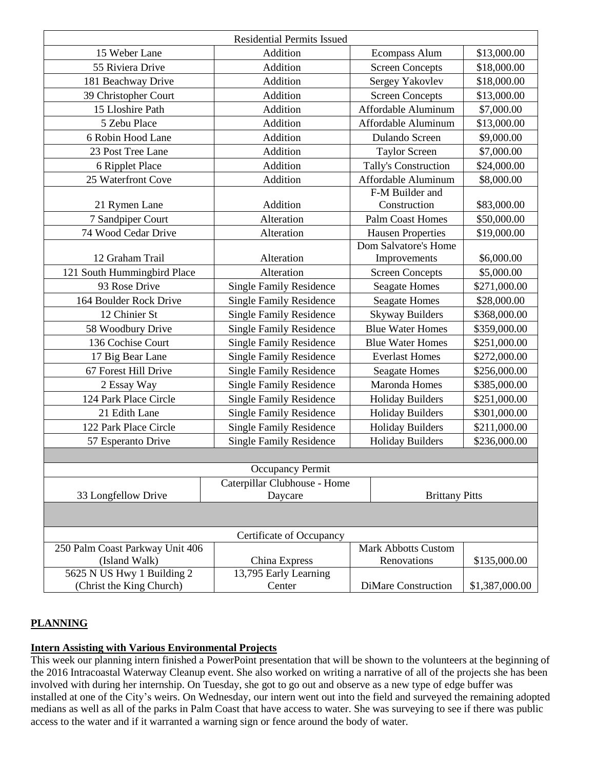|                                 | <b>Residential Permits Issued</b>                         |                                                        |                              |
|---------------------------------|-----------------------------------------------------------|--------------------------------------------------------|------------------------------|
| 15 Weber Lane                   | Addition                                                  | <b>Ecompass Alum</b>                                   | \$13,000.00                  |
| 55 Riviera Drive                | Addition                                                  | <b>Screen Concepts</b>                                 | \$18,000.00                  |
| 181 Beachway Drive              | Addition                                                  | Sergey Yakovlev                                        | \$18,000.00                  |
| 39 Christopher Court            | Addition                                                  | <b>Screen Concepts</b>                                 | \$13,000.00                  |
| 15 Lloshire Path                | Addition                                                  | Affordable Aluminum                                    | \$7,000.00                   |
| 5 Zebu Place                    | Addition                                                  | Affordable Aluminum                                    | \$13,000.00                  |
| 6 Robin Hood Lane               | Addition                                                  | Dulando Screen                                         | \$9,000.00                   |
| 23 Post Tree Lane               | Addition                                                  | <b>Taylor Screen</b>                                   | \$7,000.00                   |
| 6 Ripplet Place                 | Addition                                                  | Tally's Construction                                   | \$24,000.00                  |
| 25 Waterfront Cove              | Addition                                                  | Affordable Aluminum                                    | \$8,000.00                   |
|                                 |                                                           | F-M Builder and                                        |                              |
| 21 Rymen Lane                   | Addition                                                  | Construction                                           | \$83,000.00                  |
| 7 Sandpiper Court               | Alteration                                                | <b>Palm Coast Homes</b>                                | \$50,000.00                  |
| 74 Wood Cedar Drive             | Alteration                                                | <b>Hausen Properties</b>                               | \$19,000.00                  |
|                                 |                                                           | Dom Salvatore's Home                                   |                              |
| 12 Graham Trail                 | Alteration                                                | Improvements                                           | \$6,000.00                   |
| 121 South Hummingbird Place     | Alteration                                                | <b>Screen Concepts</b>                                 | \$5,000.00<br>\$271,000.00   |
| 93 Rose Drive                   |                                                           | <b>Single Family Residence</b><br><b>Seagate Homes</b> |                              |
| 164 Boulder Rock Drive          | <b>Single Family Residence</b><br><b>Seagate Homes</b>    |                                                        | \$28,000.00                  |
| 12 Chinier St                   | <b>Single Family Residence</b>                            | <b>Skyway Builders</b><br>\$368,000.00                 |                              |
| 58 Woodbury Drive               | <b>Single Family Residence</b>                            | <b>Blue Water Homes</b><br>\$359,000.00                |                              |
| 136 Cochise Court               | <b>Single Family Residence</b><br><b>Blue Water Homes</b> |                                                        | \$251,000.00<br>\$272,000.00 |
| 17 Big Bear Lane                | <b>Single Family Residence</b>                            | <b>Everlast Homes</b>                                  |                              |
| 67 Forest Hill Drive            | <b>Single Family Residence</b><br><b>Seagate Homes</b>    |                                                        | \$256,000.00                 |
| 2 Essay Way                     | <b>Single Family Residence</b>                            | Maronda Homes                                          | \$385,000.00                 |
| 124 Park Place Circle           | <b>Single Family Residence</b>                            | <b>Holiday Builders</b>                                | \$251,000.00                 |
| 21 Edith Lane                   | <b>Single Family Residence</b>                            | <b>Holiday Builders</b>                                | \$301,000.00                 |
| 122 Park Place Circle           | <b>Single Family Residence</b>                            | <b>Holiday Builders</b>                                | \$211,000.00                 |
| 57 Esperanto Drive              | <b>Single Family Residence</b><br><b>Holiday Builders</b> |                                                        | \$236,000.00                 |
|                                 |                                                           |                                                        |                              |
|                                 | Occupancy Permit                                          |                                                        |                              |
|                                 | Caterpillar Clubhouse - Home                              |                                                        |                              |
| 33 Longfellow Drive             | Daycare                                                   | <b>Brittany Pitts</b>                                  |                              |
|                                 |                                                           |                                                        |                              |
|                                 | Certificate of Occupancy                                  |                                                        |                              |
| 250 Palm Coast Parkway Unit 406 |                                                           | <b>Mark Abbotts Custom</b>                             |                              |
| (Island Walk)                   | China Express                                             | Renovations                                            | \$135,000.00                 |
| 5625 N US Hwy 1 Building 2      | 13,795 Early Learning                                     |                                                        |                              |
| (Christ the King Church)        | Center                                                    | DiMare Construction                                    | \$1,387,000.00               |

## **PLANNING**

#### **Intern Assisting with Various Environmental Projects**

This week our planning intern finished a PowerPoint presentation that will be shown to the volunteers at the beginning of the 2016 Intracoastal Waterway Cleanup event. She also worked on writing a narrative of all of the projects she has been involved with during her internship. On Tuesday, she got to go out and observe as a new type of edge buffer was installed at one of the City's weirs. On Wednesday, our intern went out into the field and surveyed the remaining adopted medians as well as all of the parks in Palm Coast that have access to water. She was surveying to see if there was public access to the water and if it warranted a warning sign or fence around the body of water.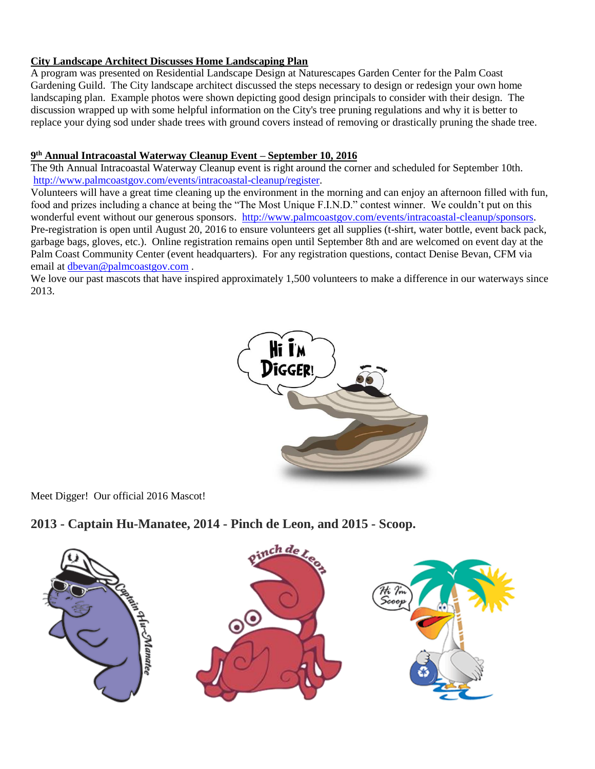## **City Landscape Architect Discusses Home Landscaping Plan**

A program was presented on Residential Landscape Design at Naturescapes Garden Center for the Palm Coast Gardening Guild. The City landscape architect discussed the steps necessary to design or redesign your own home landscaping plan. Example photos were shown depicting good design principals to consider with their design. The discussion wrapped up with some helpful information on the City's tree pruning regulations and why it is better to replace your dying sod under shade trees with ground covers instead of removing or drastically pruning the shade tree.

#### **9 th Annual Intracoastal Waterway Cleanup Event – September 10, 2016**

The 9th Annual Intracoastal Waterway Cleanup event is right around the corner and scheduled for September 10th. [http://www.palmcoastgov.com/events/intracoastal-cleanup/register.](http://www.palmcoastgov.com/events/intracoastal-cleanup/register)

Volunteers will have a great time cleaning up the environment in the morning and can enjoy an afternoon filled with fun, food and prizes including a chance at being the "The Most Unique F.I.N.D." contest winner. We couldn't put on this wonderful event without our generous sponsors. [http://www.palmcoastgov.com/events/intracoastal-cleanup/sponsors.](http://www.palmcoastgov.com/events/intracoastal-cleanup/sponsors) Pre-registration is open until August 20, 2016 to ensure volunteers get all supplies (t-shirt, water bottle, event back pack, garbage bags, gloves, etc.). Online registration remains open until September 8th and are welcomed on event day at the Palm Coast Community Center (event headquarters). For any registration questions, contact Denise Bevan, CFM via email at [dbevan@palmcoastgov.com](mailto:dbevan@palmcoastgov.com) .

We love our past mascots that have inspired approximately 1,500 volunteers to make a difference in our waterways since 2013.



Meet Digger! Our official 2016 Mascot!

## **2013 - Captain Hu-Manatee, 2014 - Pinch de Leon, and 2015 - Scoop.**

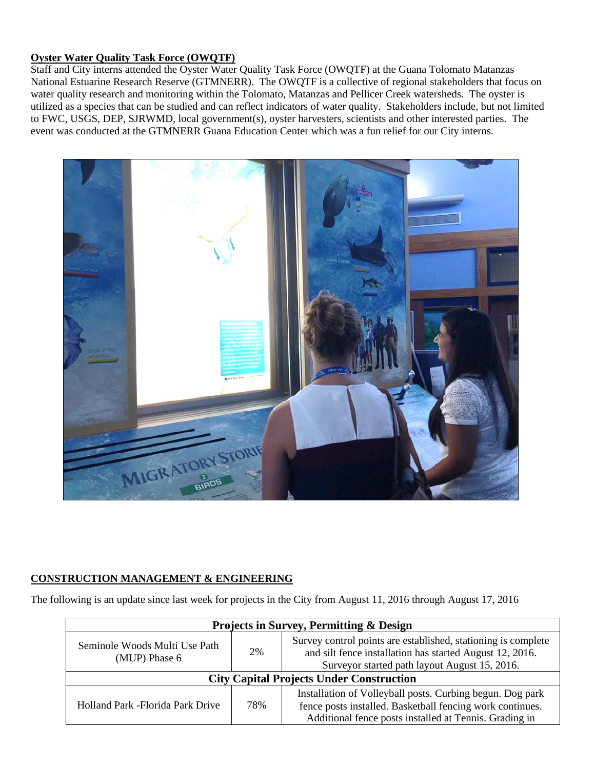#### **Oyster Water Quality Task Force (OWQTF)**

Staff and City interns attended the Oyster Water Quality Task Force (OWQTF) at the Guana Tolomato Matanzas National Estuarine Research Reserve (GTMNERR). The OWQTF is a collective of regional stakeholders that focus on water quality research and monitoring within the Tolomato, Matanzas and Pellicer Creek watersheds. The oyster is utilized as a species that can be studied and can reflect indicators of water quality. Stakeholders include, but not limited to FWC, USGS, DEP, SJRWMD, local government(s), oyster harvesters, scientists and other interested parties. The event was conducted at the GTMNERR Guana Education Center which was a fun relief for our City interns.



## **CONSTRUCTION MANAGEMENT & ENGINEERING**

The following is an update since last week for projects in the City from August 11, 2016 through August 17, 2016

| <b>Projects in Survey, Permitting &amp; Design</b> |     |                                                                                                                                                                                  |  |  |
|----------------------------------------------------|-----|----------------------------------------------------------------------------------------------------------------------------------------------------------------------------------|--|--|
| Seminole Woods Multi Use Path<br>(MUP) Phase 6     | 2%  | Survey control points are established, stationing is complete<br>and silt fence installation has started August 12, 2016.<br>Surveyor started path layout August 15, 2016.       |  |  |
| <b>City Capital Projects Under Construction</b>    |     |                                                                                                                                                                                  |  |  |
| Holland Park - Florida Park Drive                  | 78% | Installation of Volleyball posts. Curbing begun. Dog park<br>fence posts installed. Basketball fencing work continues.<br>Additional fence posts installed at Tennis. Grading in |  |  |